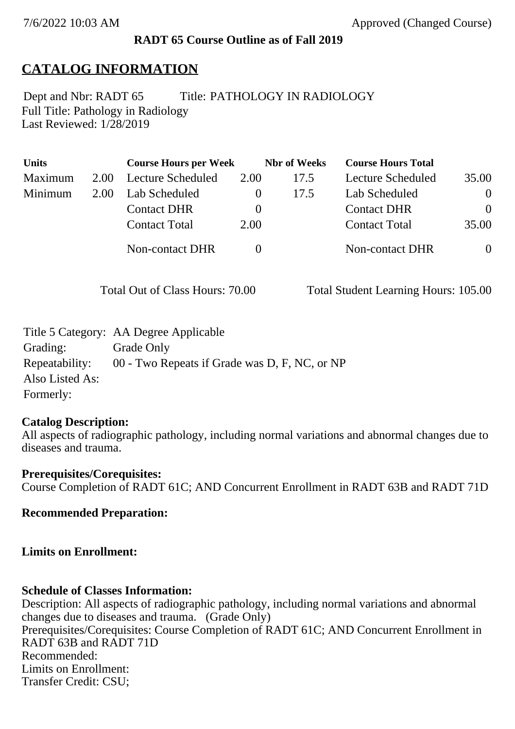#### **RADT 65 Course Outline as of Fall 2019**

## **CATALOG INFORMATION**

Full Title: Pathology in Radiology Last Reviewed: 1/28/2019 Dept and Nbr: RADT 65 Title: PATHOLOGY IN RADIOLOGY

| <b>Units</b> |      | <b>Course Hours per Week</b> |          | <b>Nbr</b> of Weeks | <b>Course Hours Total</b> |                |
|--------------|------|------------------------------|----------|---------------------|---------------------------|----------------|
| Maximum      | 2.00 | Lecture Scheduled            | 2.00     | 17.5                | Lecture Scheduled         | 35.00          |
| Minimum      | 2.00 | Lab Scheduled                |          | 17.5                | Lab Scheduled             | $\overline{0}$ |
|              |      | <b>Contact DHR</b>           | $\theta$ |                     | <b>Contact DHR</b>        | $\Omega$       |
|              |      | <b>Contact Total</b>         | 2.00     |                     | <b>Contact Total</b>      | 35.00          |
|              |      | Non-contact DHR              |          |                     | Non-contact DHR           | $\overline{0}$ |

Total Out of Class Hours: 70.00 Total Student Learning Hours: 105.00

|                 | Title 5 Category: AA Degree Applicable        |
|-----------------|-----------------------------------------------|
| Grading:        | Grade Only                                    |
| Repeatability:  | 00 - Two Repeats if Grade was D, F, NC, or NP |
| Also Listed As: |                                               |
| Formerly:       |                                               |

#### **Catalog Description:**

All aspects of radiographic pathology, including normal variations and abnormal changes due to diseases and trauma.

**Prerequisites/Corequisites:** Course Completion of RADT 61C; AND Concurrent Enrollment in RADT 63B and RADT 71D

**Recommended Preparation:**

**Limits on Enrollment:**

#### **Schedule of Classes Information:**

Description: All aspects of radiographic pathology, including normal variations and abnormal changes due to diseases and trauma. (Grade Only) Prerequisites/Corequisites: Course Completion of RADT 61C; AND Concurrent Enrollment in RADT 63B and RADT 71D Recommended: Limits on Enrollment: Transfer Credit: CSU;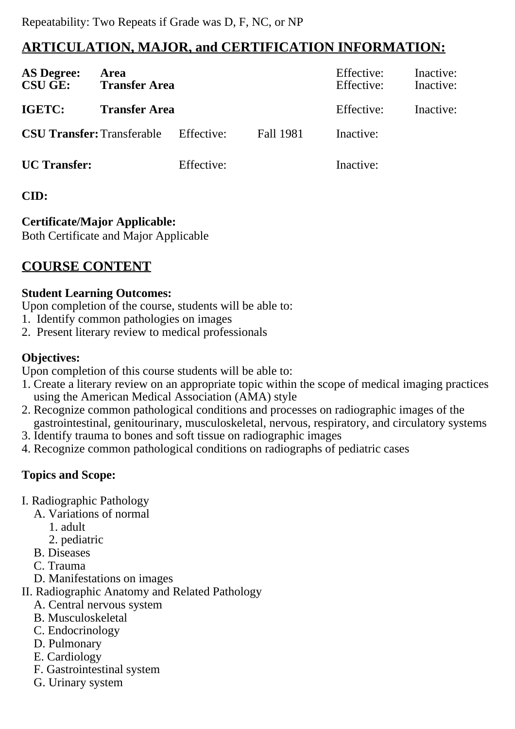# **ARTICULATION, MAJOR, and CERTIFICATION INFORMATION:**

| <b>AS Degree:</b><br><b>CSU GE:</b> | Area<br><b>Transfer Area</b> |            |           | Effective:<br>Effective: | Inactive:<br>Inactive: |
|-------------------------------------|------------------------------|------------|-----------|--------------------------|------------------------|
| IGETC:                              | <b>Transfer Area</b>         |            |           | Effective:               | Inactive:              |
| <b>CSU Transfer: Transferable</b>   |                              | Effective: | Fall 1981 | Inactive:                |                        |
| <b>UC</b> Transfer:                 |                              | Effective: |           | Inactive:                |                        |

### **CID:**

# **Certificate/Major Applicable:**

[Both Certificate and Major Applicable](SR_ClassCheck.aspx?CourseKey=RADT65)

# **COURSE CONTENT**

### **Student Learning Outcomes:**

Upon completion of the course, students will be able to:

- 1. Identify common pathologies on images
- 2. Present literary review to medical professionals

### **Objectives:**

Upon completion of this course students will be able to:

- 1. Create a literary review on an appropriate topic within the scope of medical imaging practices using the American Medical Association (AMA) style
- 2. Recognize common pathological conditions and processes on radiographic images of the gastrointestinal, genitourinary, musculoskeletal, nervous, respiratory, and circulatory systems
- 3. Identify trauma to bones and soft tissue on radiographic images
- 4. Recognize common pathological conditions on radiographs of pediatric cases

### **Topics and Scope:**

- I. Radiographic Pathology
	- A. Variations of normal
		- 1. adult
		- 2. pediatric
	- B. Diseases
	- C. Trauma
	- D. Manifestations on images

II. Radiographic Anatomy and Related Pathology

- A. Central nervous system
- B. Musculoskeletal
- C. Endocrinology
- D. Pulmonary
- E. Cardiology
- F. Gastrointestinal system
- G. Urinary system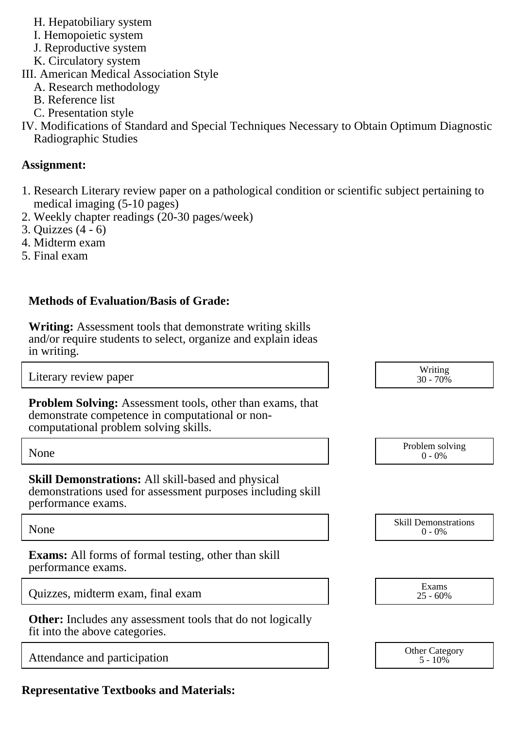- H. Hepatobiliary system
- I. Hemopoietic system
- J. Reproductive system
- K. Circulatory system
- III. American Medical Association Style
	- A. Research methodology
	- B. Reference list
	- C. Presentation style
- IV. Modifications of Standard and Special Techniques Necessary to Obtain Optimum Diagnostic Radiographic Studies

### **Assignment:**

- 1. Research Literary review paper on a pathological condition or scientific subject pertaining to medical imaging (5-10 pages)
- 2. Weekly chapter readings (20-30 pages/week)
- 3. Quizzes (4 6)
- 4. Midterm exam
- 5. Final exam

### **Methods of Evaluation/Basis of Grade:**

**Writing:** Assessment tools that demonstrate writing skills and/or require students to select, organize and explain ideas in writing.

Attendance and participation

**Representative Textbooks and Materials:**

| in writing.                                                                                                                                                  |                                          |
|--------------------------------------------------------------------------------------------------------------------------------------------------------------|------------------------------------------|
| Literary review paper                                                                                                                                        | Writing<br>30 - 70%                      |
| <b>Problem Solving:</b> Assessment tools, other than exams, that<br>demonstrate competence in computational or non-<br>computational problem solving skills. |                                          |
| None                                                                                                                                                         | Problem solving<br>$0 - 0\%$             |
| <b>Skill Demonstrations:</b> All skill-based and physical<br>demonstrations used for assessment purposes including skill<br>performance exams.               |                                          |
| None                                                                                                                                                         | <b>Skill Demonstrations</b><br>$0 - 0\%$ |
| <b>Exams:</b> All forms of formal testing, other than skill<br>performance exams.                                                                            |                                          |
| Quizzes, midterm exam, final exam                                                                                                                            | Exams<br>$25 - 60\%$                     |
| <b>Other:</b> Includes any assessment tools that do not logically<br>fit into the above categories.                                                          |                                          |
| Attendance and participation                                                                                                                                 | <b>Other Category</b><br>$5 - 10\%$      |